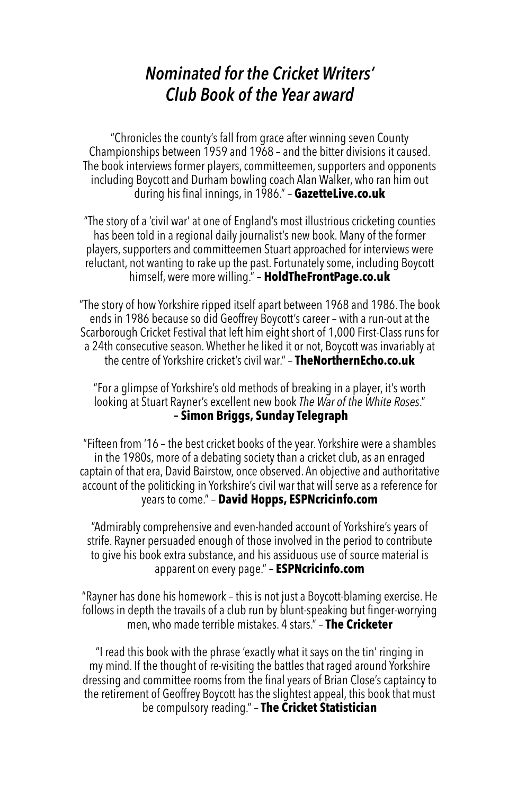#### *Nominated for the Cricket Writers' Club Book of the Year award*

"Chronicles the county's fall from grace after winning seven County Championships between 1959 and 1968 – and the bitter divisions it caused. The book interviews former players, committeemen, supporters and opponents including Boycott and Durham bowling coach Alan Walker, who ran him out during his final innings, in 1986." – **GazetteLive.co.uk**

"The story of a 'civil war' at one of England's most illustrious cricketing counties has been told in a regional daily journalist's new book. Many of the former players, supporters and committeemen Stuart approached for interviews were reluctant, not wanting to rake up the past. Fortunately some, including Boycott himself, were more willing." – **HoldTheFrontPage.co.uk**

"The story of how Yorkshire ripped itself apart between 1968 and 1986. The book ends in 1986 because so did Geoffrey Boycott's career – with a run-out at the Scarborough Cricket Festival that left him eight short of 1,000 First-Class runs for a 24th consecutive season. Whether he liked it or not, Boycott was invariably at the centre of Yorkshire cricket's civil war." – **TheNorthernEcho.co.uk** 

"For a glimpse of Yorkshire's old methods of breaking in a player, it's worth looking at Stuart Rayner's excellent new book *The War of the White Roses*."  **– Simon Briggs, Sunday Telegraph**

"Fifteen from '16 – the best cricket books of the year. Yorkshire were a shambles in the 1980s, more of a debating society than a cricket club, as an enraged captain of that era, David Bairstow, once observed. An objective and authoritative account of the politicking in Yorkshire's civil war that will serve as a reference for years to come." – **David Hopps, ESPNcricinfo.com**

"Admirably comprehensive and even-handed account of Yorkshire's years of strife. Rayner persuaded enough of those involved in the period to contribute to give his book extra substance, and his assiduous use of source material is apparent on every page." – **ESPNcricinfo.com**

"Rayner has done his homework – this is not just a Boycott-blaming exercise. He follows in depth the travails of a club run by blunt-speaking but finger-worrying men, who made terrible mistakes. 4 stars." – **The Cricketer**

"I read this book with the phrase 'exactly what it says on the tin' ringing in my mind. If the thought of re-visiting the battles that raged around Yorkshire dressing and committee rooms from the final years of Brian Close's captaincy to the retirement of Geoffrey Boycott has the slightest appeal, this book that must be compulsory reading." – **The Cricket Statistician**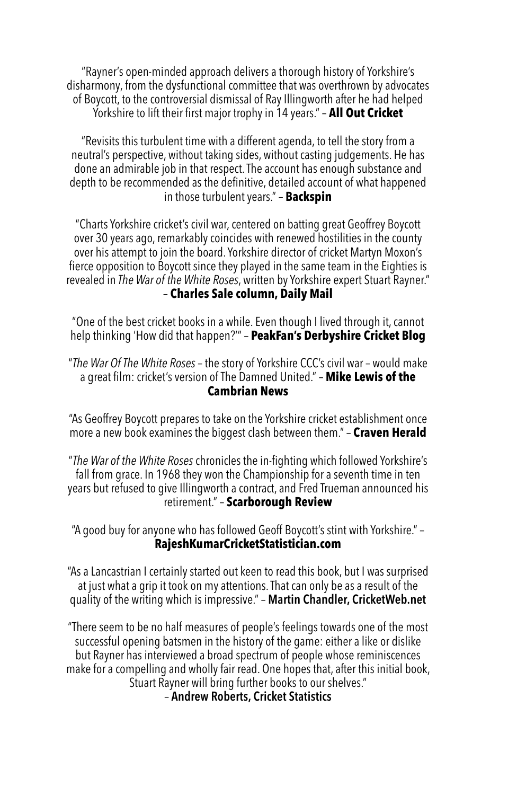"Rayner's open-minded approach delivers a thorough history of Yorkshire's disharmony, from the dysfunctional committee that was overthrown by advocates of Boycott, to the controversial dismissal of Ray Illingworth after he had helped Yorkshire to lift their first major trophy in 14 years." – **All Out Cricket**

"Revisits this turbulent time with a different agenda, to tell the story from a neutral's perspective, without taking sides, without casting judgements. He has done an admirable job in that respect. The account has enough substance and depth to be recommended as the definitive, detailed account of what happened in those turbulent years." – **Backspin** 

"Charts Yorkshire cricket's civil war, centered on batting great Geoffrey Boycott over 30 years ago, remarkably coincides with renewed hostilities in the county over his attempt to join the board. Yorkshire director of cricket Martyn Moxon's fierce opposition to Boycott since they played in the same team in the Eighties is revealed in *The War of the White Roses*, written by Yorkshire expert Stuart Rayner." – **Charles Sale column, Daily Mail**

"One of the best cricket books in a while. Even though I lived through it, cannot help thinking 'How did that happen?'" – **PeakFan's Derbyshire Cricket Blog**

"*The War Of The White Roses* – the story of Yorkshire CCC's civil war – would make a great film: cricket's version of The Damned United." – **Mike Lewis of the Cambrian News**

"As Geoffrey Boycott prepares to take on the Yorkshire cricket establishment once more a new book examines the biggest clash between them." – **Craven Herald**

"*The War of the White Roses* chronicles the in-fighting which followed Yorkshire's fall from grace. In 1968 they won the Championship for a seventh time in ten years but refused to give Illingworth a contract, and Fred Trueman announced his retirement." – **Scarborough Review**

"A good buy for anyone who has followed Geoff Boycott's stint with Yorkshire." – **RajeshKumarCricketStatistician.com**

"As a Lancastrian I certainly started out keen to read this book, but I was surprised at just what a grip it took on my attentions. That can only be as a result of the quality of the writing which is impressive." - Martin Chandler, CricketWeb.net

"There seem to be no half measures of people's feelings towards one of the most successful opening batsmen in the history of the game: either a like or dislike but Rayner has interviewed a broad spectrum of people whose reminiscences make for a compelling and wholly fair read. One hopes that, after this initial book, Stuart Rayner will bring further books to our shelves."

– Andrew Roberts, Cricket Statistics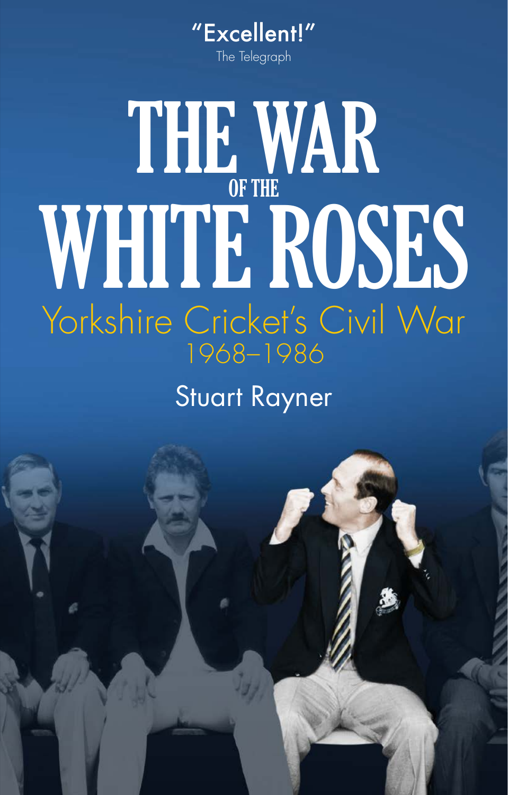### "Excellent!"

The Telegraph

# THE WAR OF THE WHITE ROSES Yorkshire Cricket's Civil War 1968–1986

Stuart Rayner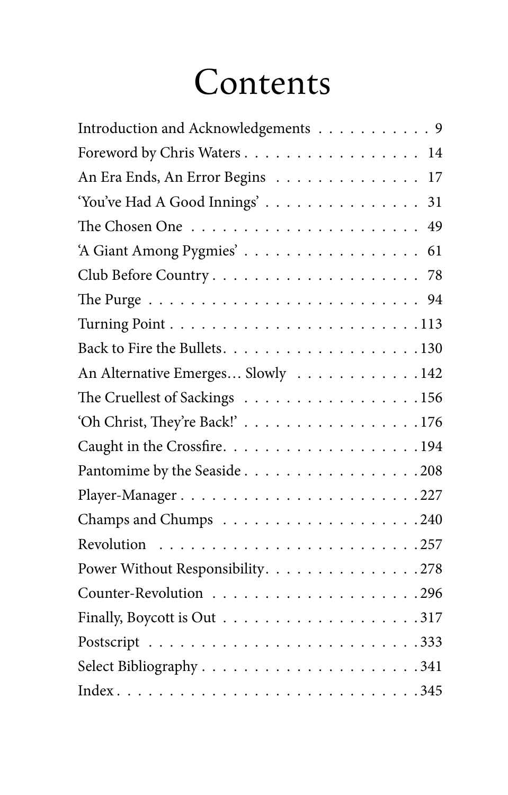### Contents

| Introduction and Acknowledgements 9                                           |
|-------------------------------------------------------------------------------|
| Foreword by Chris Waters 14                                                   |
| An Era Ends, An Error Begins<br>17                                            |
| 'You've Had A Good Innings'<br>31                                             |
| 49                                                                            |
| 'A Giant Among Pygmies'<br>61                                                 |
|                                                                               |
| The Purge $\ldots \ldots \ldots \ldots \ldots \ldots \ldots \ldots \ldots 94$ |
|                                                                               |
|                                                                               |
| An Alternative Emerges Slowly 142                                             |
| The Cruellest of Sackings 156                                                 |
| 'Oh Christ, They're Back!' 176                                                |
|                                                                               |
| Pantomime by the Seaside 208                                                  |
|                                                                               |
|                                                                               |
|                                                                               |
| Power Without Responsibility. 278                                             |
|                                                                               |
|                                                                               |
|                                                                               |
|                                                                               |
|                                                                               |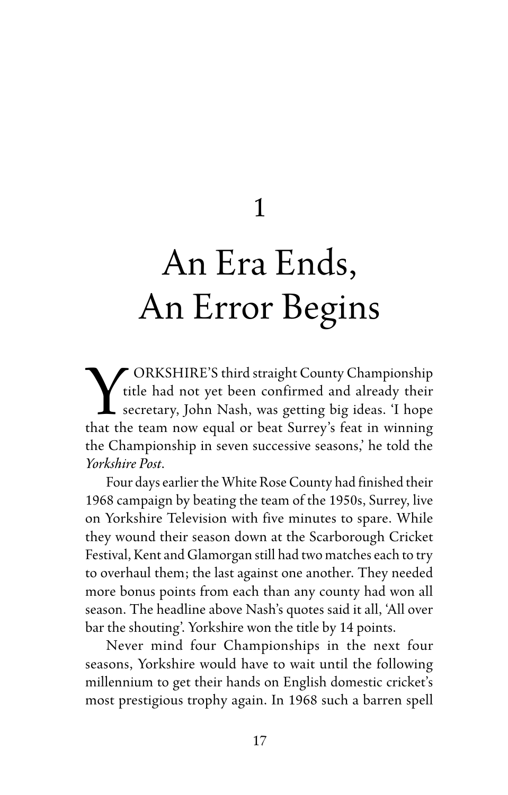1

## <span id="page-4-0"></span>An Era Ends, An Error Begins

ORKSHIRE'S third straight County Championship title had not yet been confirmed and already their secretary, John Nash, was getting big ideas. 'I hope **Y** ORKSHIRE'S third straight County Championship title had not yet been confirmed and already their secretary, John Nash, was getting big ideas. 'I hope that the team now equal or beat Surrey's feat in winning the Championship in seven successive seasons,' he told the *Yorkshire Post*.

Four days earlier the White Rose County had finished their 1968 campaign by beating the team of the 1950s, Surrey, live on Yorkshire Television with five minutes to spare. While they wound their season down at the Scarborough Cricket Festival, Kent and Glamorgan still had two matches each to try to overhaul them; the last against one another. They needed more bonus points from each than any county had won all season. The headline above Nash's quotes said it all, 'All over bar the shouting'. Yorkshire won the title by 14 points.

Never mind four Championships in the next four seasons, Yorkshire would have to wait until the following millennium to get their hands on English domestic cricket's most prestigious trophy again. In 1968 such a barren spell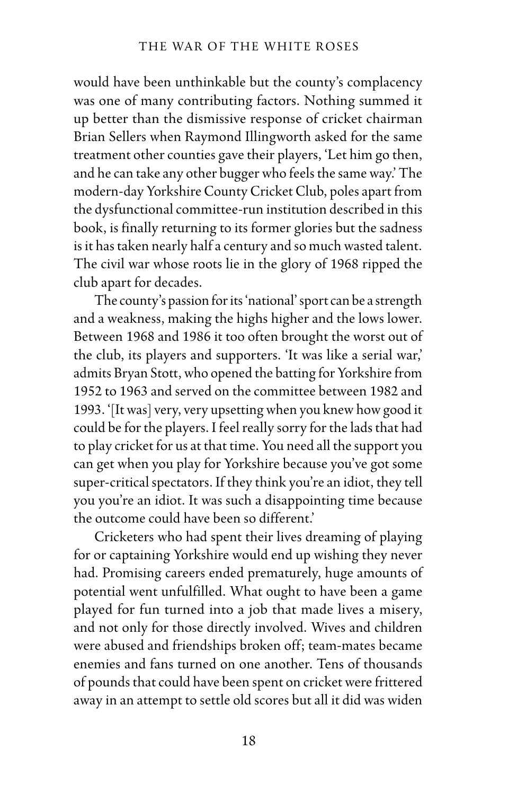would have been unthinkable but the county's complacency was one of many contributing factors. Nothing summed it up better than the dismissive response of cricket chairman Brian Sellers when Raymond Illingworth asked for the same treatment other counties gave their players, 'Let him go then, and he can take any other bugger who feels the same way.' The modern-day Yorkshire County Cricket Club, poles apart from the dysfunctional committee-run institution described in this book, is finally returning to its former glories but the sadness is it has taken nearly half a century and so much wasted talent. The civil war whose roots lie in the glory of 1968 ripped the club apart for decades.

The county's passion for its 'national' sport can be a strength and a weakness, making the highs higher and the lows lower. Between 1968 and 1986 it too often brought the worst out of the club, its players and supporters. 'It was like a serial war,' admits Bryan Stott, who opened the batting for Yorkshire from 1952 to 1963 and served on the committee between 1982 and 1993. '[It was] very, very upsetting when you knew how good it could be for the players. I feel really sorry for the lads that had to play cricket for us at that time. You need all the support you can get when you play for Yorkshire because you've got some super-critical spectators. If they think you're an idiot, they tell you you're an idiot. It was such a disappointing time because the outcome could have been so different.'

Cricketers who had spent their lives dreaming of playing for or captaining Yorkshire would end up wishing they never had. Promising careers ended prematurely, huge amounts of potential went unfulfilled. What ought to have been a game played for fun turned into a job that made lives a misery, and not only for those directly involved. Wives and children were abused and friendships broken off; team-mates became enemies and fans turned on one another. Tens of thousands of pounds that could have been spent on cricket were frittered away in an attempt to settle old scores but all it did was widen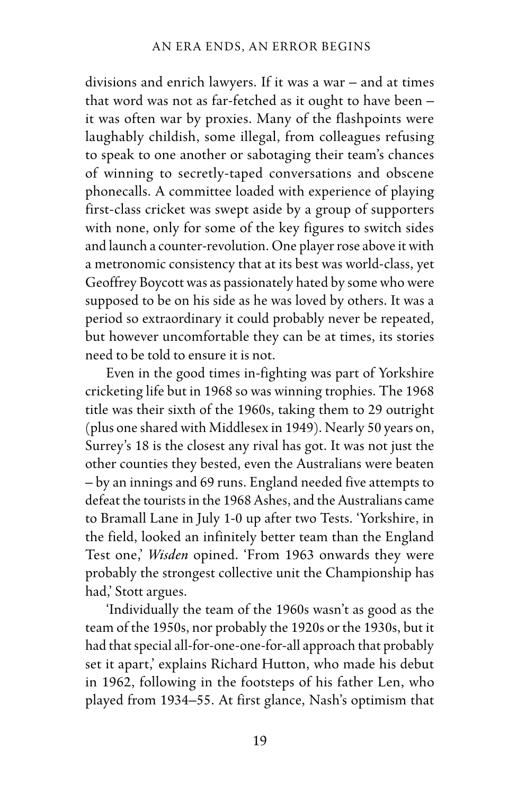divisions and enrich lawyers. If it was a war – and at times that word was not as far-fetched as it ought to have been – it was often war by proxies. Many of the flashpoints were laughably childish, some illegal, from colleagues refusing to speak to one another or sabotaging their team's chances of winning to secretly-taped conversations and obscene phonecalls. A committee loaded with experience of playing first-class cricket was swept aside by a group of supporters with none, only for some of the key figures to switch sides and launch a counter-revolution. One player rose above it with a metronomic consistency that at its best was world-class, yet Geoffrey Boycott was as passionately hated by some who were supposed to be on his side as he was loved by others. It was a period so extraordinary it could probably never be repeated, but however uncomfortable they can be at times, its stories need to be told to ensure it is not.

Even in the good times in-fighting was part of Yorkshire cricketing life but in 1968 so was winning trophies. The 1968 title was their sixth of the 1960s, taking them to 29 outright (plus one shared with Middlesex in 1949). Nearly 50 years on, Surrey's 18 is the closest any rival has got. It was not just the other counties they bested, even the Australians were beaten – by an innings and 69 runs. England needed five attempts to defeat the tourists in the 1968 Ashes, and the Australians came to Bramall Lane in July 1-0 up after two Tests. 'Yorkshire, in the field, looked an infinitely better team than the England Test one,' *Wisden* opined. 'From 1963 onwards they were probably the strongest collective unit the Championship has had,' Stott argues.

'Individually the team of the 1960s wasn't as good as the team of the 1950s, nor probably the 1920s or the 1930s, but it had that special all-for-one-one-for-all approach that probably set it apart,' explains Richard Hutton, who made his debut in 1962, following in the footsteps of his father Len, who played from 1934–55. At first glance, Nash's optimism that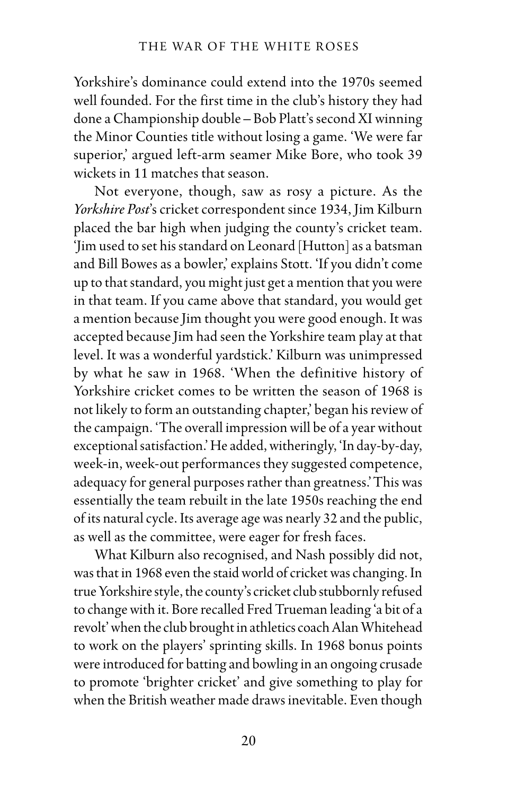Yorkshire's dominance could extend into the 1970s seemed well founded. For the first time in the club's history they had done a Championship double – Bob Platt's second XI winning the Minor Counties title without losing a game. 'We were far superior,' argued left-arm seamer Mike Bore, who took 39 wickets in 11 matches that season.

Not everyone, though, saw as rosy a picture. As the *Yorkshire Post*'s cricket correspondent since 1934, Jim Kilburn placed the bar high when judging the county's cricket team. 'Jim used to set his standard on Leonard [Hutton] as a batsman and Bill Bowes as a bowler,' explains Stott. 'If you didn't come up to that standard, you might just get a mention that you were in that team. If you came above that standard, you would get a mention because Jim thought you were good enough. It was accepted because Jim had seen the Yorkshire team play at that level. It was a wonderful yardstick.' Kilburn was unimpressed by what he saw in 1968. 'When the definitive history of Yorkshire cricket comes to be written the season of 1968 is not likely to form an outstanding chapter,' began his review of the campaign. 'The overall impression will be of a year without exceptional satisfaction.' He added, witheringly, 'In day-by-day, week-in, week-out performances they suggested competence, adequacy for general purposes rather than greatness.'This was essentially the team rebuilt in the late 1950s reaching the end of its natural cycle. Its average age was nearly 32 and the public, as well as the committee, were eager for fresh faces.

What Kilburn also recognised, and Nash possibly did not, was that in 1968 even the staid world of cricket was changing. In true Yorkshire style, the county's cricket club stubbornly refused to change with it. Bore recalled Fred Trueman leading 'a bit of a revolt' when the club brought in athletics coach Alan Whitehead to work on the players' sprinting skills. In 1968 bonus points were introduced for batting and bowling in an ongoing crusade to promote 'brighter cricket' and give something to play for when the British weather made draws inevitable. Even though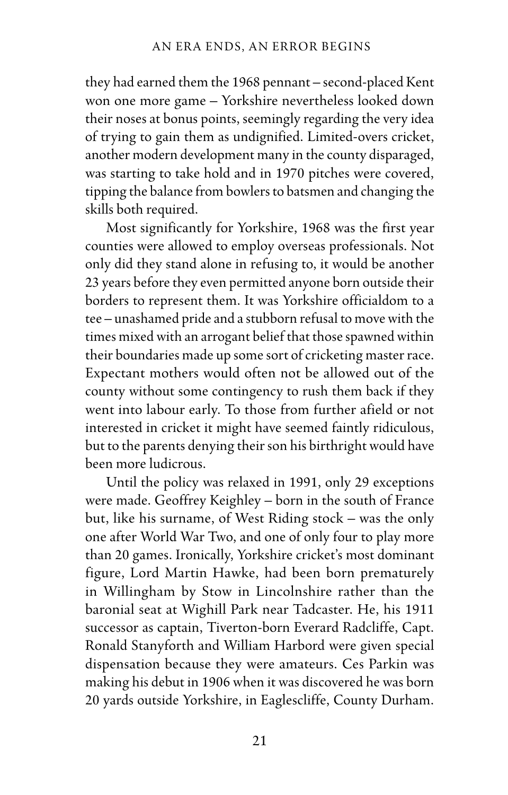they had earned them the 1968 pennant – second-placed Kent won one more game – Yorkshire nevertheless looked down their noses at bonus points, seemingly regarding the very idea of trying to gain them as undignified. Limited-overs cricket, another modern development many in the county disparaged, was starting to take hold and in 1970 pitches were covered, tipping the balance from bowlers to batsmen and changing the skills both required.

Most significantly for Yorkshire, 1968 was the first year counties were allowed to employ overseas professionals. Not only did they stand alone in refusing to, it would be another 23 years before they even permitted anyone born outside their borders to represent them. It was Yorkshire officialdom to a tee – unashamed pride and a stubborn refusal to move with the times mixed with an arrogant belief that those spawned within their boundaries made up some sort of cricketing master race. Expectant mothers would often not be allowed out of the county without some contingency to rush them back if they went into labour early. To those from further afield or not interested in cricket it might have seemed faintly ridiculous, but to the parents denying their son his birthright would have been more ludicrous.

Until the policy was relaxed in 1991, only 29 exceptions were made. Geoffrey Keighley – born in the south of France but, like his surname, of West Riding stock – was the only one after World War Two, and one of only four to play more than 20 games. Ironically, Yorkshire cricket's most dominant figure, Lord Martin Hawke, had been born prematurely in Willingham by Stow in Lincolnshire rather than the baronial seat at Wighill Park near Tadcaster. He, his 1911 successor as captain, Tiverton-born Everard Radcliffe, Capt. Ronald Stanyforth and William Harbord were given special dispensation because they were amateurs. Ces Parkin was making his debut in 1906 when it was discovered he was born 20 yards outside Yorkshire, in Eaglescliffe, County Durham.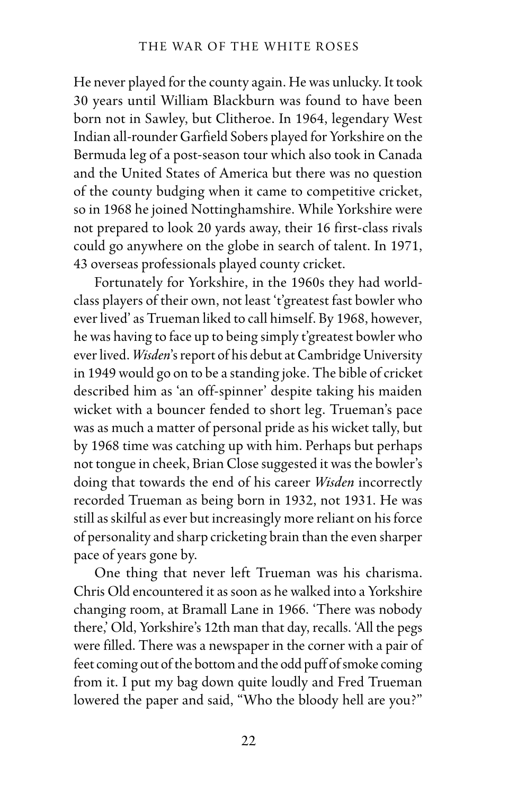He never played for the county again. He was unlucky. It took 30 years until William Blackburn was found to have been born not in Sawley, but Clitheroe. In 1964, legendary West Indian all-rounder Garfield Sobers played for Yorkshire on the Bermuda leg of a post-season tour which also took in Canada and the United States of America but there was no question of the county budging when it came to competitive cricket, so in 1968 he joined Nottinghamshire. While Yorkshire were not prepared to look 20 yards away, their 16 first-class rivals could go anywhere on the globe in search of talent. In 1971, 43 overseas professionals played county cricket.

Fortunately for Yorkshire, in the 1960s they had worldclass players of their own, not least 't'greatest fast bowler who ever lived' as Trueman liked to call himself. By 1968, however, he was having to face up to being simply t'greatest bowler who ever lived. *Wisden*'s report of his debut at Cambridge University in 1949 would go on to be a standing joke. The bible of cricket described him as 'an off-spinner' despite taking his maiden wicket with a bouncer fended to short leg. Trueman's pace was as much a matter of personal pride as his wicket tally, but by 1968 time was catching up with him. Perhaps but perhaps not tongue in cheek, Brian Close suggested it was the bowler's doing that towards the end of his career *Wisden* incorrectly recorded Trueman as being born in 1932, not 1931. He was still as skilful as ever but increasingly more reliant on his force of personality and sharp cricketing brain than the even sharper pace of years gone by.

One thing that never left Trueman was his charisma. Chris Old encountered it as soon as he walked into a Yorkshire changing room, at Bramall Lane in 1966. 'There was nobody there,' Old, Yorkshire's 12th man that day, recalls. 'All the pegs were filled. There was a newspaper in the corner with a pair of feet coming out of the bottom and the odd puff of smoke coming from it. I put my bag down quite loudly and Fred Trueman lowered the paper and said, "Who the bloody hell are you?"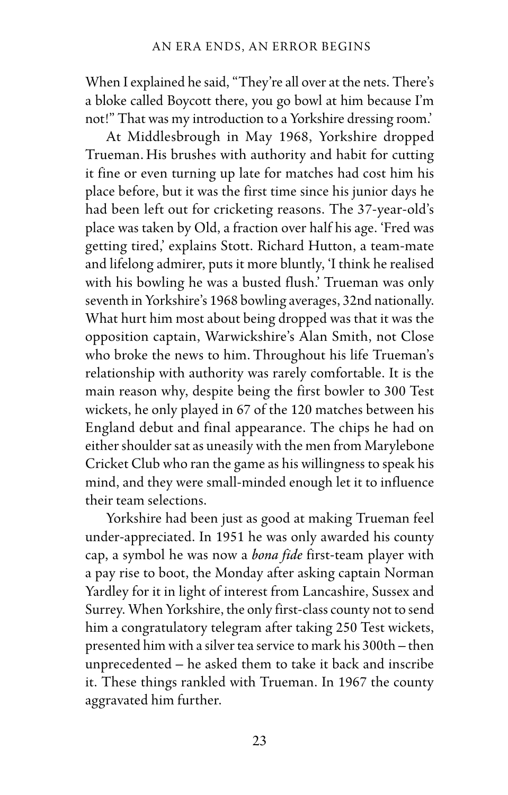When I explained he said, "They're all over at the nets. There's a bloke called Boycott there, you go bowl at him because I'm not!" That was my introduction to a Yorkshire dressing room.'

At Middlesbrough in May 1968, Yorkshire dropped Trueman.His brushes with authority and habit for cutting it fine or even turning up late for matches had cost him his place before, but it was the first time since his junior days he had been left out for cricketing reasons. The 37-year-old's place was taken by Old, a fraction over half his age. 'Fred was getting tired,' explains Stott. Richard Hutton, a team-mate and lifelong admirer, puts it more bluntly, 'I think he realised with his bowling he was a busted flush.' Trueman was only seventh in Yorkshire's 1968 bowling averages, 32nd nationally. What hurt him most about being dropped was that it was the opposition captain, Warwickshire's Alan Smith, not Close who broke the news to him.Throughout his life Trueman's relationship with authority was rarely comfortable. It is the main reason why, despite being the first bowler to 300 Test wickets, he only played in 67 of the 120 matches between his England debut and final appearance. The chips he had on either shoulder sat as uneasily with the men from Marylebone Cricket Club who ran the game as his willingness to speak his mind, and they were small-minded enough let it to influence their team selections.

Yorkshire had been just as good at making Trueman feel under-appreciated. In 1951 he was only awarded his county cap, a symbol he was now a *bona fide* first-team player with a pay rise to boot, the Monday after asking captain Norman Yardley for it in light of interest from Lancashire, Sussex and Surrey. When Yorkshire, the only first-class county not to send him a congratulatory telegram after taking 250 Test wickets, presented him with a silver tea service to mark his 300th – then unprecedented – he asked them to take it back and inscribe it. These things rankled with Trueman. In 1967 the county aggravated him further.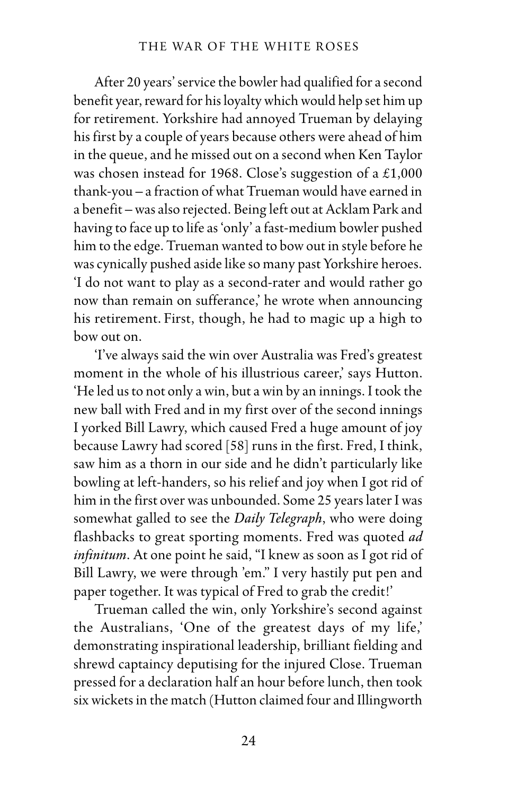#### THE WAR OF THE WHITE ROSES

After 20 years' service the bowler had qualified for a second benefit year, reward for his loyalty which would help set him up for retirement. Yorkshire had annoyed Trueman by delaying his first by a couple of years because others were ahead of him in the queue, and he missed out on a second when Ken Taylor was chosen instead for 1968. Close's suggestion of a £1,000 thank-you – a fraction of what Trueman would have earned in a benefit – was also rejected. Being left out at Acklam Park and having to face up to life as 'only' a fast-medium bowler pushed him to the edge. Trueman wanted to bow out in style before he was cynically pushed aside like so many past Yorkshire heroes. 'I do not want to play as a second-rater and would rather go now than remain on sufferance,' he wrote when announcing his retirement. First, though, he had to magic up a high to bow out on.

'I've always said the win over Australia was Fred's greatest moment in the whole of his illustrious career,' says Hutton. 'He led us to not only a win, but a win by an innings. I took the new ball with Fred and in my first over of the second innings I yorked Bill Lawry, which caused Fred a huge amount of joy because Lawry had scored [58] runs in the first. Fred, I think, saw him as a thorn in our side and he didn't particularly like bowling at left-handers, so his relief and joy when I got rid of him in the first over was unbounded. Some 25 years later I was somewhat galled to see the *Daily Telegraph*, who were doing flashbacks to great sporting moments. Fred was quoted *ad infinitum*. At one point he said, "I knew as soon as I got rid of Bill Lawry, we were through 'em." I very hastily put pen and paper together. It was typical of Fred to grab the credit!'

Trueman called the win, only Yorkshire's second against the Australians, 'One of the greatest days of my life,' demonstrating inspirational leadership, brilliant fielding and shrewd captaincy deputising for the injured Close. Trueman pressed for a declaration half an hour before lunch, then took six wickets in the match (Hutton claimed four and Illingworth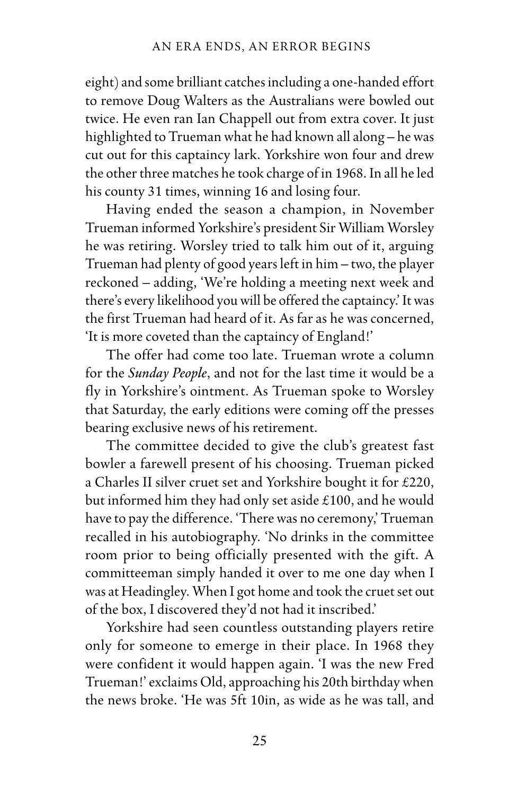eight) and some brilliant catches including a one-handed effort to remove Doug Walters as the Australians were bowled out twice. He even ran Ian Chappell out from extra cover. It just highlighted to Trueman what he had known all along – he was cut out for this captaincy lark. Yorkshire won four and drew the other three matches he took charge of in 1968. In all he led his county 31 times, winning 16 and losing four.

Having ended the season a champion, in November Trueman informed Yorkshire's president Sir William Worsley he was retiring. Worsley tried to talk him out of it, arguing Trueman had plenty of good years left in him – two, the player reckoned – adding, 'We're holding a meeting next week and there's every likelihood you will be offered the captaincy.' It was the first Trueman had heard of it. As far as he was concerned, 'It is more coveted than the captaincy of England!'

The offer had come too late. Trueman wrote a column for the *Sunday People*, and not for the last time it would be a fly in Yorkshire's ointment. As Trueman spoke to Worsley that Saturday, the early editions were coming off the presses bearing exclusive news of his retirement.

The committee decided to give the club's greatest fast bowler a farewell present of his choosing. Trueman picked a Charles II silver cruet set and Yorkshire bought it for £220, but informed him they had only set aside £100, and he would have to pay the difference. 'There was no ceremony,' Trueman recalled in his autobiography. 'No drinks in the committee room prior to being officially presented with the gift. A committeeman simply handed it over to me one day when I was at Headingley. When I got home and took the cruet set out of the box, I discovered they'd not had it inscribed.'

Yorkshire had seen countless outstanding players retire only for someone to emerge in their place. In 1968 they were confident it would happen again. 'I was the new Fred Trueman!' exclaims Old, approaching his 20th birthday when the news broke. 'He was 5ft 10in, as wide as he was tall, and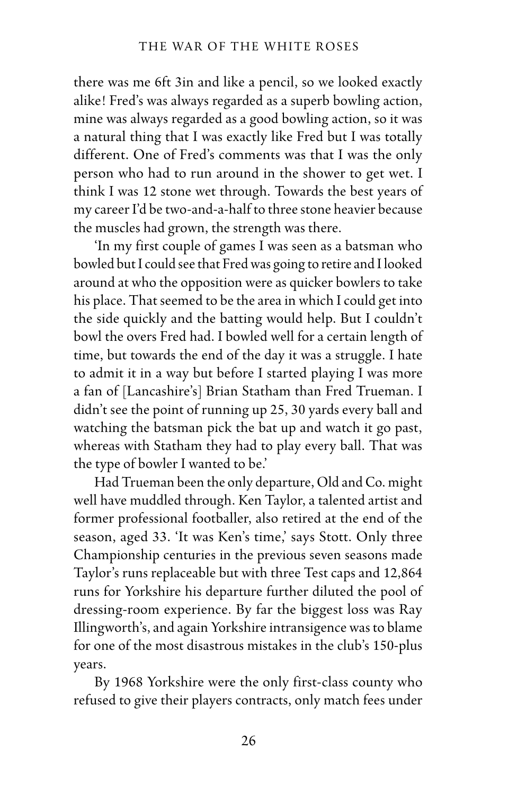there was me 6ft 3in and like a pencil, so we looked exactly alike! Fred's was always regarded as a superb bowling action, mine was always regarded as a good bowling action, so it was a natural thing that I was exactly like Fred but I was totally different. One of Fred's comments was that I was the only person who had to run around in the shower to get wet. I think I was 12 stone wet through. Towards the best years of my career I'd be two-and-a-half to three stone heavier because the muscles had grown, the strength was there.

'In my first couple of games I was seen as a batsman who bowled but I could see that Fred was going to retire and I looked around at who the opposition were as quicker bowlers to take his place. That seemed to be the area in which I could get into the side quickly and the batting would help. But I couldn't bowl the overs Fred had. I bowled well for a certain length of time, but towards the end of the day it was a struggle. I hate to admit it in a way but before I started playing I was more a fan of [Lancashire's] Brian Statham than Fred Trueman. I didn't see the point of running up 25, 30 yards every ball and watching the batsman pick the bat up and watch it go past, whereas with Statham they had to play every ball. That was the type of bowler I wanted to be.'

Had Trueman been the only departure, Old and Co. might well have muddled through. Ken Taylor, a talented artist and former professional footballer, also retired at the end of the season, aged 33. 'It was Ken's time,' says Stott. Only three Championship centuries in the previous seven seasons made Taylor's runs replaceable but with three Test caps and 12,864 runs for Yorkshire his departure further diluted the pool of dressing-room experience. By far the biggest loss was Ray Illingworth's, and again Yorkshire intransigence was to blame for one of the most disastrous mistakes in the club's 150-plus years.

By 1968 Yorkshire were the only first-class county who refused to give their players contracts, only match fees under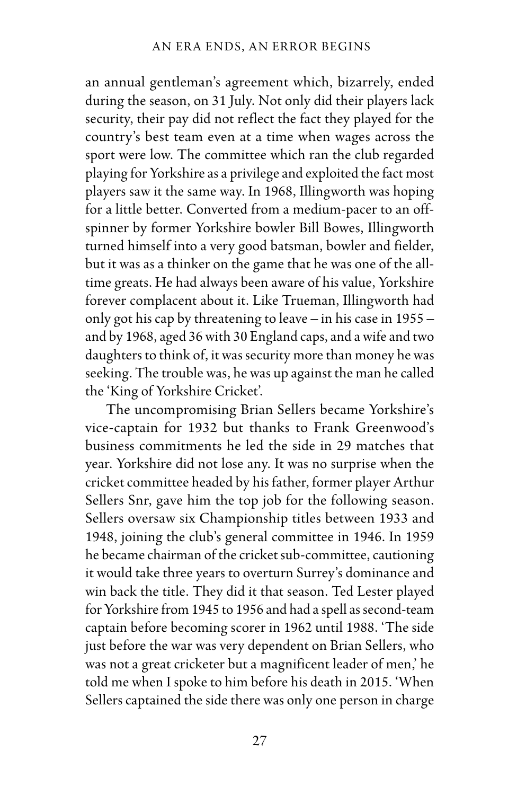an annual gentleman's agreement which, bizarrely, ended during the season, on 31 July. Not only did their players lack security, their pay did not reflect the fact they played for the country's best team even at a time when wages across the sport were low. The committee which ran the club regarded playing for Yorkshire as a privilege and exploited the fact most players saw it the same way. In 1968, Illingworth was hoping for a little better. Converted from a medium-pacer to an offspinner by former Yorkshire bowler Bill Bowes, Illingworth turned himself into a very good batsman, bowler and fielder, but it was as a thinker on the game that he was one of the alltime greats. He had always been aware of his value, Yorkshire forever complacent about it. Like Trueman, Illingworth had only got his cap by threatening to leave – in his case in 1955 – and by 1968, aged 36 with 30 England caps, and a wife and two daughters to think of, it was security more than money he was seeking. The trouble was, he was up against the man he called the 'King of Yorkshire Cricket'.

The uncompromising Brian Sellers became Yorkshire's vice-captain for 1932 but thanks to Frank Greenwood's business commitments he led the side in 29 matches that year. Yorkshire did not lose any. It was no surprise when the cricket committee headed by his father, former player Arthur Sellers Snr, gave him the top job for the following season. Sellers oversaw six Championship titles between 1933 and 1948, joining the club's general committee in 1946. In 1959 he became chairman of the cricket sub-committee, cautioning it would take three years to overturn Surrey's dominance and win back the title. They did it that season. Ted Lester played for Yorkshire from 1945 to 1956 and had a spell as second-team captain before becoming scorer in 1962 until 1988. 'The side just before the war was very dependent on Brian Sellers, who was not a great cricketer but a magnificent leader of men,' he told me when I spoke to him before his death in 2015. 'When Sellers captained the side there was only one person in charge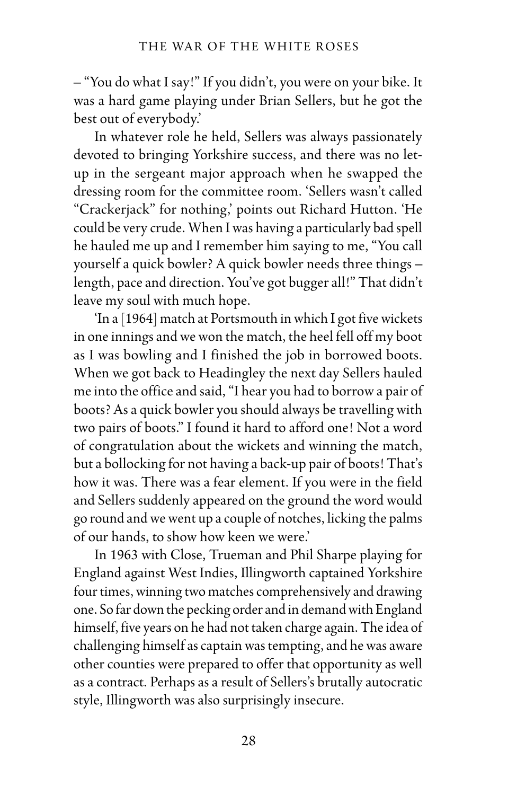– "You do what I say!" If you didn't, you were on your bike. It was a hard game playing under Brian Sellers, but he got the best out of everybody.'

In whatever role he held, Sellers was always passionately devoted to bringing Yorkshire success, and there was no letup in the sergeant major approach when he swapped the dressing room for the committee room. 'Sellers wasn't called "Crackerjack" for nothing,' points out Richard Hutton. 'He could be very crude. When I was having a particularly bad spell he hauled me up and I remember him saying to me, "You call yourself a quick bowler? A quick bowler needs three things – length, pace and direction. You've got bugger all!" That didn't leave my soul with much hope.

'In a [1964] match at Portsmouth in which I got five wickets in one innings and we won the match, the heel fell off my boot as I was bowling and I finished the job in borrowed boots. When we got back to Headingley the next day Sellers hauled me into the office and said, "I hear you had to borrow a pair of boots? As a quick bowler you should always be travelling with two pairs of boots." I found it hard to afford one! Not a word of congratulation about the wickets and winning the match, but a bollocking for not having a back-up pair of boots! That's how it was. There was a fear element. If you were in the field and Sellers suddenly appeared on the ground the word would go round and we went up a couple of notches, licking the palms of our hands, to show how keen we were.'

In 1963 with Close, Trueman and Phil Sharpe playing for England against West Indies, Illingworth captained Yorkshire four times, winning two matches comprehensively and drawing one. So far down the pecking order and in demand with England himself, five years on he had not taken charge again. The idea of challenging himself as captain was tempting, and he was aware other counties were prepared to offer that opportunity as well as a contract. Perhaps as a result of Sellers's brutally autocratic style, Illingworth was also surprisingly insecure.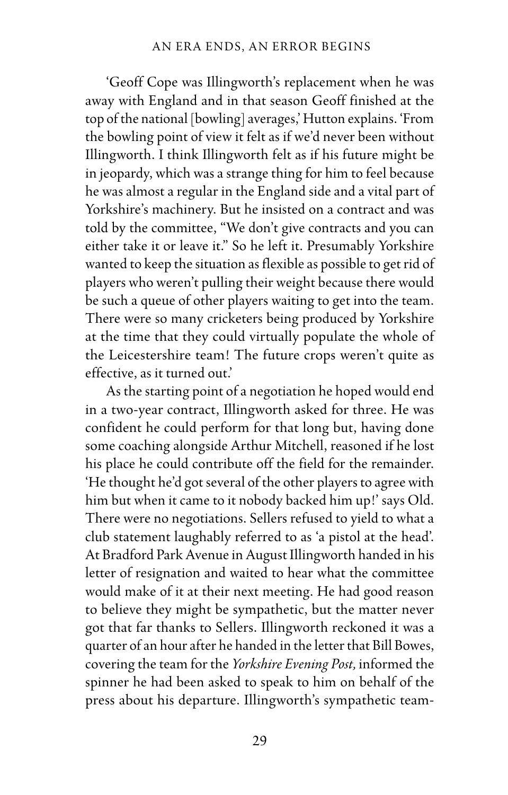'Geoff Cope was Illingworth's replacement when he was away with England and in that season Geoff finished at the top of the national [bowling] averages,' Hutton explains. 'From the bowling point of view it felt as if we'd never been without Illingworth. I think Illingworth felt as if his future might be in jeopardy, which was a strange thing for him to feel because he was almost a regular in the England side and a vital part of Yorkshire's machinery. But he insisted on a contract and was told by the committee, "We don't give contracts and you can either take it or leave it." So he left it. Presumably Yorkshire wanted to keep the situation as flexible as possible to get rid of players who weren't pulling their weight because there would be such a queue of other players waiting to get into the team. There were so many cricketers being produced by Yorkshire at the time that they could virtually populate the whole of the Leicestershire team! The future crops weren't quite as effective, as it turned out.'

As the starting point of a negotiation he hoped would end in a two-year contract, Illingworth asked for three. He was confident he could perform for that long but, having done some coaching alongside Arthur Mitchell, reasoned if he lost his place he could contribute off the field for the remainder. 'He thought he'd got several of the other players to agree with him but when it came to it nobody backed him up!' says Old. There were no negotiations. Sellers refused to yield to what a club statement laughably referred to as 'a pistol at the head'. At Bradford Park Avenue in August Illingworth handed in his letter of resignation and waited to hear what the committee would make of it at their next meeting. He had good reason to believe they might be sympathetic, but the matter never got that far thanks to Sellers. Illingworth reckoned it was a quarter of an hour after he handed in the letter that Bill Bowes, covering the team for the *Yorkshire Evening Post,* informed the spinner he had been asked to speak to him on behalf of the press about his departure. Illingworth's sympathetic team